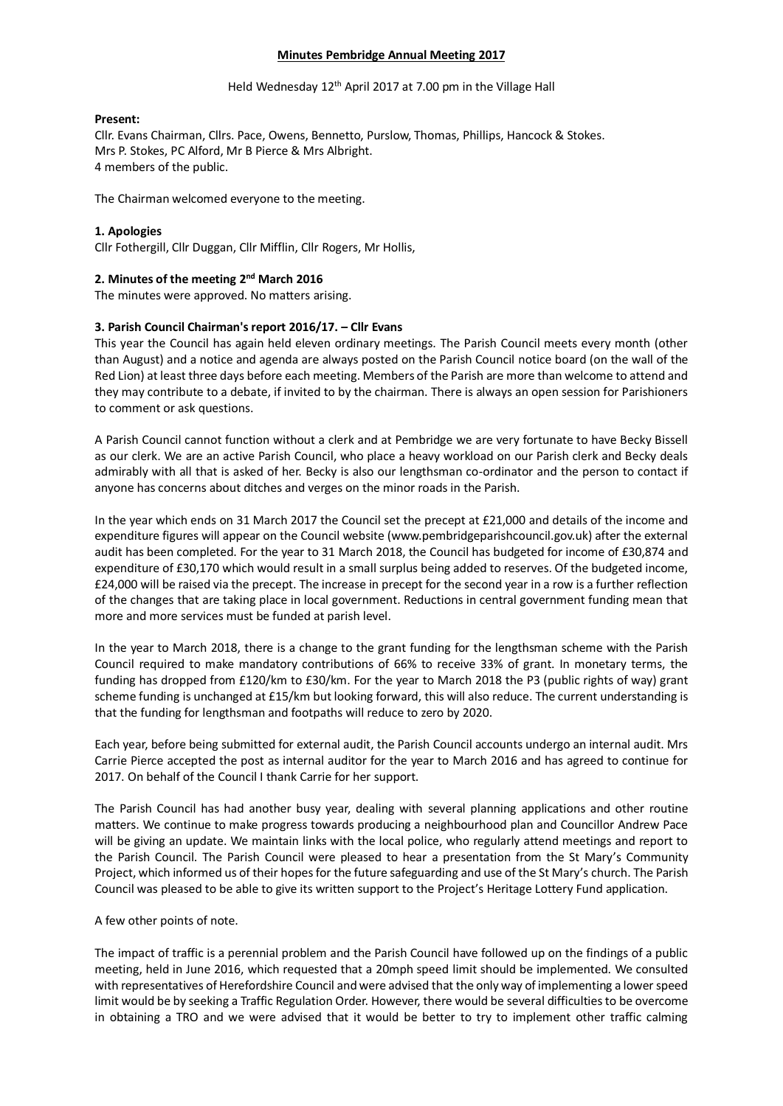## **Minutes Pembridge Annual Meeting 2017**

### Held Wednesday 12<sup>th</sup> April 2017 at 7.00 pm in the Village Hall

### **Present:**

Cllr. Evans Chairman, Cllrs. Pace, Owens, Bennetto, Purslow, Thomas, Phillips, Hancock & Stokes. Mrs P. Stokes, PC Alford, Mr B Pierce & Mrs Albright. 4 members of the public.

The Chairman welcomed everyone to the meeting.

## **1. Apologies**

Cllr Fothergill, Cllr Duggan, Cllr Mifflin, Cllr Rogers, Mr Hollis,

# 2. Minutes of the meeting 2<sup>nd</sup> March 2016

The minutes were approved. No matters arising.

## **3. Parish Council Chairman's report 2016/17. – Cllr Evans**

This year the Council has again held eleven ordinary meetings. The Parish Council meets every month (other than August) and a notice and agenda are always posted on the Parish Council notice board (on the wall of the Red Lion) at least three days before each meeting. Members of the Parish are more than welcome to attend and they may contribute to a debate, if invited to by the chairman. There is always an open session for Parishioners to comment or ask questions.

A Parish Council cannot function without a clerk and at Pembridge we are very fortunate to have Becky Bissell as our clerk. We are an active Parish Council, who place a heavy workload on our Parish clerk and Becky deals admirably with all that is asked of her. Becky is also our lengthsman co-ordinator and the person to contact if anyone has concerns about ditches and verges on the minor roads in the Parish.

In the year which ends on 31 March 2017 the Council set the precept at £21,000 and details of the income and expenditure figures will appear on the Council website (www.pembridgeparishcouncil.gov.uk) after the external audit has been completed. For the year to 31 March 2018, the Council has budgeted for income of £30,874 and expenditure of £30,170 which would result in a small surplus being added to reserves. Of the budgeted income, £24,000 will be raised via the precept. The increase in precept for the second year in a row is a further reflection of the changes that are taking place in local government. Reductions in central government funding mean that more and more services must be funded at parish level.

In the year to March 2018, there is a change to the grant funding for the lengthsman scheme with the Parish Council required to make mandatory contributions of 66% to receive 33% of grant. In monetary terms, the funding has dropped from £120/km to £30/km. For the year to March 2018 the P3 (public rights of way) grant scheme funding is unchanged at £15/km but looking forward, this will also reduce. The current understanding is that the funding for lengthsman and footpaths will reduce to zero by 2020.

Each year, before being submitted for external audit, the Parish Council accounts undergo an internal audit. Mrs Carrie Pierce accepted the post as internal auditor for the year to March 2016 and has agreed to continue for 2017. On behalf of the Council I thank Carrie for her support.

The Parish Council has had another busy year, dealing with several planning applications and other routine matters. We continue to make progress towards producing a neighbourhood plan and Councillor Andrew Pace will be giving an update. We maintain links with the local police, who regularly attend meetings and report to the Parish Council. The Parish Council were pleased to hear a presentation from the St Mary's Community Project, which informed us of their hopes for the future safeguarding and use of the St Mary's church. The Parish Council was pleased to be able to give its written support to the Project's Heritage Lottery Fund application.

## A few other points of note.

The impact of traffic is a perennial problem and the Parish Council have followed up on the findings of a public meeting, held in June 2016, which requested that a 20mph speed limit should be implemented. We consulted with representatives of Herefordshire Council and were advised that the only way of implementing a lower speed limit would be by seeking a Traffic Regulation Order. However, there would be several difficulties to be overcome in obtaining a TRO and we were advised that it would be better to try to implement other traffic calming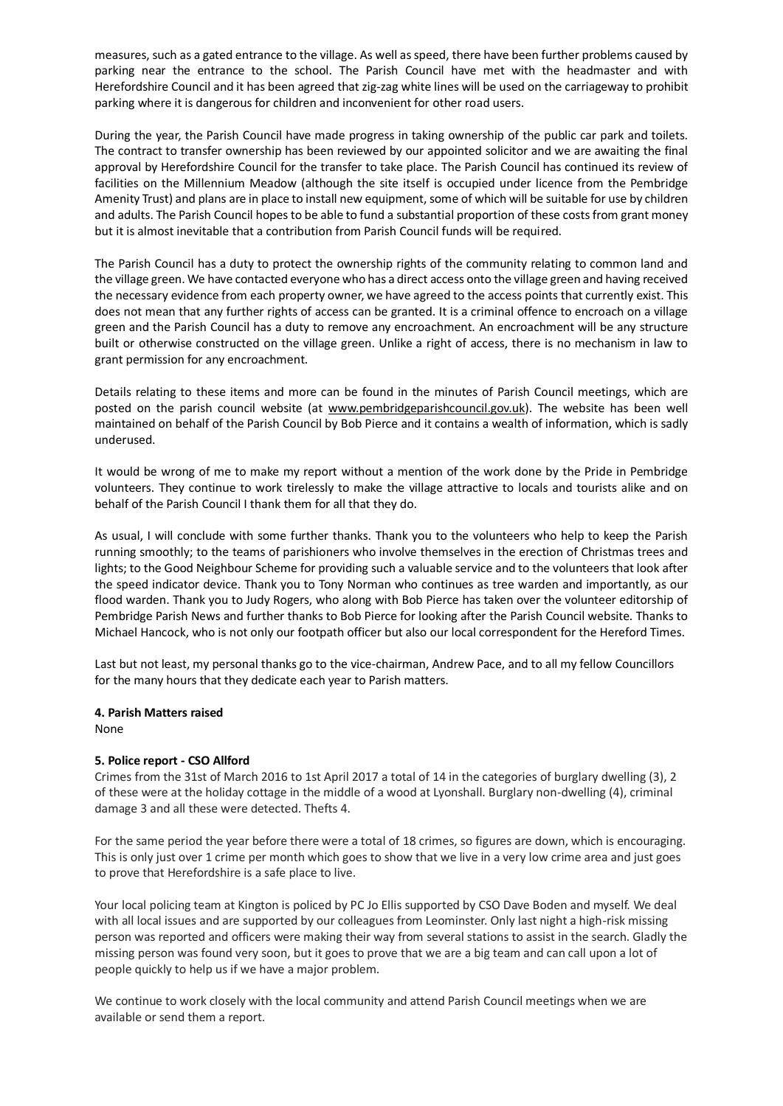measures, such as a gated entrance to the village. As well as speed, there have been further problems caused by parking near the entrance to the school. The Parish Council have met with the headmaster and with Herefordshire Council and it has been agreed that zig-zag white lines will be used on the carriageway to prohibit parking where it is dangerous for children and inconvenient for other road users.

During the year, the Parish Council have made progress in taking ownership of the public car park and toilets. The contract to transfer ownership has been reviewed by our appointed solicitor and we are awaiting the final approval by Herefordshire Council for the transfer to take place. The Parish Council has continued its review of facilities on the Millennium Meadow (although the site itself is occupied under licence from the Pembridge Amenity Trust) and plans are in place to install new equipment, some of which will be suitable for use by children and adults. The Parish Council hopes to be able to fund a substantial proportion of these costs from grant money but it is almost inevitable that a contribution from Parish Council funds will be required.

The Parish Council has a duty to protect the ownership rights of the community relating to common land and the village green. We have contacted everyone who has a direct access onto the village green and having received the necessary evidence from each property owner, we have agreed to the access points that currently exist. This does not mean that any further rights of access can be granted. It is a criminal offence to encroach on a village green and the Parish Council has a duty to remove any encroachment. An encroachment will be any structure built or otherwise constructed on the village green. Unlike a right of access, there is no mechanism in law to grant permission for any encroachment.

Details relating to these items and more can be found in the minutes of Parish Council meetings, which are posted on the parish council website (at [www.pembridgeparishcouncil.gov.uk\)](http://www.pembridgeparishcouncil.gov.uk/). The website has been well maintained on behalf of the Parish Council by Bob Pierce and it contains a wealth of information, which is sadly underused.

It would be wrong of me to make my report without a mention of the work done by the Pride in Pembridge volunteers. They continue to work tirelessly to make the village attractive to locals and tourists alike and on behalf of the Parish Council I thank them for all that they do.

As usual, I will conclude with some further thanks. Thank you to the volunteers who help to keep the Parish running smoothly; to the teams of parishioners who involve themselves in the erection of Christmas trees and lights; to the Good Neighbour Scheme for providing such a valuable service and to the volunteers that look after the speed indicator device. Thank you to Tony Norman who continues as tree warden and importantly, as our flood warden. Thank you to Judy Rogers, who along with Bob Pierce has taken over the volunteer editorship of Pembridge Parish News and further thanks to Bob Pierce for looking after the Parish Council website. Thanks to Michael Hancock, who is not only our footpath officer but also our local correspondent for the Hereford Times.

Last but not least, my personal thanks go to the vice-chairman, Andrew Pace, and to all my fellow Councillors for the many hours that they dedicate each year to Parish matters.

## **4. Parish Matters raised**

None

## **5. Police report - CSO Allford**

Crimes from the 31st of March 2016 to 1st April 2017 a total of 14 in the categories of burglary dwelling (3), 2 of these were at the holiday cottage in the middle of a wood at Lyonshall. Burglary non-dwelling (4), criminal damage 3 and all these were detected. Thefts 4.

For the same period the year before there were a total of 18 crimes, so figures are down, which is encouraging. This is only just over 1 crime per month which goes to show that we live in a very low crime area and just goes to prove that Herefordshire is a safe place to live.

Your local policing team at Kington is policed by PC Jo Ellis supported by CSO Dave Boden and myself. We deal with all local issues and are supported by our colleagues from Leominster. Only last night a high-risk missing person was reported and officers were making their way from several stations to assist in the search. Gladly the missing person was found very soon, but it goes to prove that we are a big team and can call upon a lot of people quickly to help us if we have a major problem.

We continue to work closely with the local community and attend Parish Council meetings when we are available or send them a report.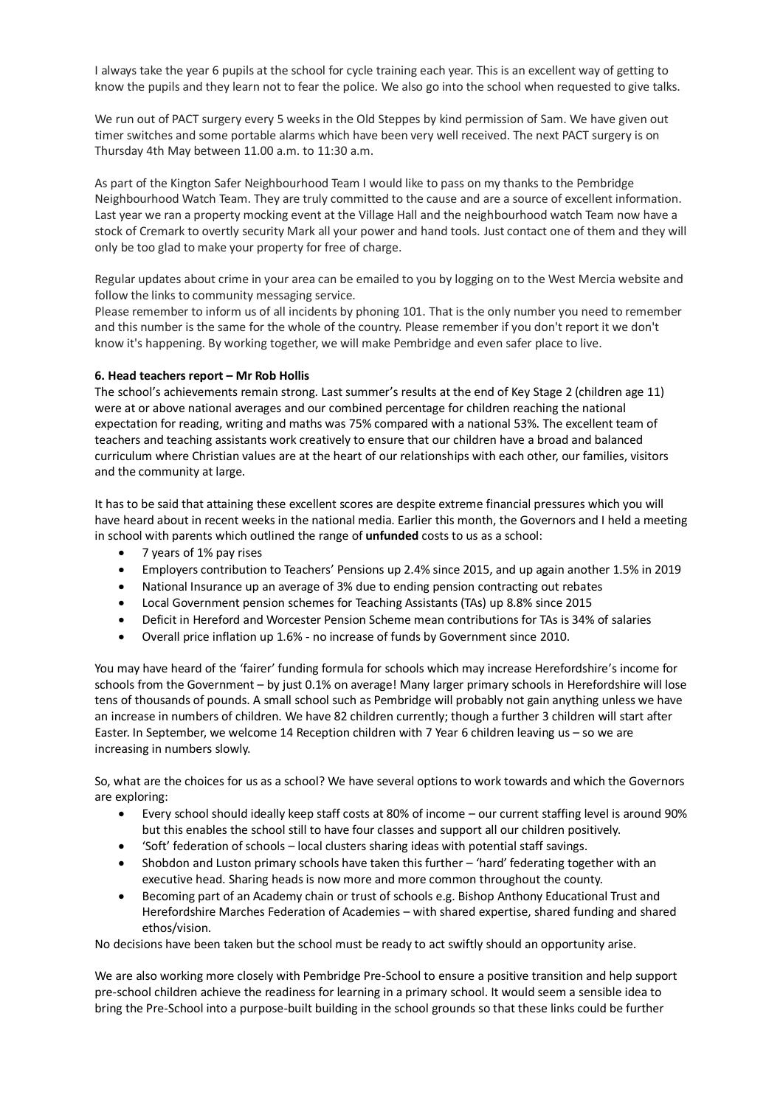I always take the year 6 pupils at the school for cycle training each year. This is an excellent way of getting to know the pupils and they learn not to fear the police. We also go into the school when requested to give talks.

We run out of PACT surgery every 5 weeks in the Old Steppes by kind permission of Sam. We have given out timer switches and some portable alarms which have been very well received. The next PACT surgery is on Thursday 4th May between 11.00 a.m. to 11:30 a.m.

As part of the Kington Safer Neighbourhood Team I would like to pass on my thanks to the Pembridge Neighbourhood Watch Team. They are truly committed to the cause and are a source of excellent information. Last year we ran a property mocking event at the Village Hall and the neighbourhood watch Team now have a stock of Cremark to overtly security Mark all your power and hand tools. Just contact one of them and they will only be too glad to make your property for free of charge.

Regular updates about crime in your area can be emailed to you by logging on to the West Mercia website and follow the links to community messaging service.

Please remember to inform us of all incidents by phoning 101. That is the only number you need to remember and this number is the same for the whole of the country. Please remember if you don't report it we don't know it's happening. By working together, we will make Pembridge and even safer place to live.

## **6. Head teachers report – Mr Rob Hollis**

The school's achievements remain strong. Last summer's results at the end of Key Stage 2 (children age 11) were at or above national averages and our combined percentage for children reaching the national expectation for reading, writing and maths was 75% compared with a national 53%. The excellent team of teachers and teaching assistants work creatively to ensure that our children have a broad and balanced curriculum where Christian values are at the heart of our relationships with each other, our families, visitors and the community at large.

It has to be said that attaining these excellent scores are despite extreme financial pressures which you will have heard about in recent weeks in the national media. Earlier this month, the Governors and I held a meeting in school with parents which outlined the range of **unfunded** costs to us as a school:

- 7 years of 1% pay rises
- Employers contribution to Teachers' Pensions up 2.4% since 2015, and up again another 1.5% in 2019
- National Insurance up an average of 3% due to ending pension contracting out rebates
- Local Government pension schemes for Teaching Assistants (TAs) up 8.8% since 2015
- Deficit in Hereford and Worcester Pension Scheme mean contributions for TAs is 34% of salaries
- Overall price inflation up 1.6% no increase of funds by Government since 2010.

You may have heard of the 'fairer' funding formula for schools which may increase Herefordshire's income for schools from the Government – by just 0.1% on average! Many larger primary schools in Herefordshire will lose tens of thousands of pounds. A small school such as Pembridge will probably not gain anything unless we have an increase in numbers of children. We have 82 children currently; though a further 3 children will start after Easter. In September, we welcome 14 Reception children with 7 Year 6 children leaving us – so we are increasing in numbers slowly.

So, what are the choices for us as a school? We have several options to work towards and which the Governors are exploring:

- Every school should ideally keep staff costs at 80% of income our current staffing level is around 90% but this enables the school still to have four classes and support all our children positively.
- 'Soft' federation of schools local clusters sharing ideas with potential staff savings.
- Shobdon and Luston primary schools have taken this further 'hard' federating together with an executive head. Sharing heads is now more and more common throughout the county.
- Becoming part of an Academy chain or trust of schools e.g. Bishop Anthony Educational Trust and Herefordshire Marches Federation of Academies – with shared expertise, shared funding and shared ethos/vision.

No decisions have been taken but the school must be ready to act swiftly should an opportunity arise.

We are also working more closely with Pembridge Pre-School to ensure a positive transition and help support pre-school children achieve the readiness for learning in a primary school. It would seem a sensible idea to bring the Pre-School into a purpose-built building in the school grounds so that these links could be further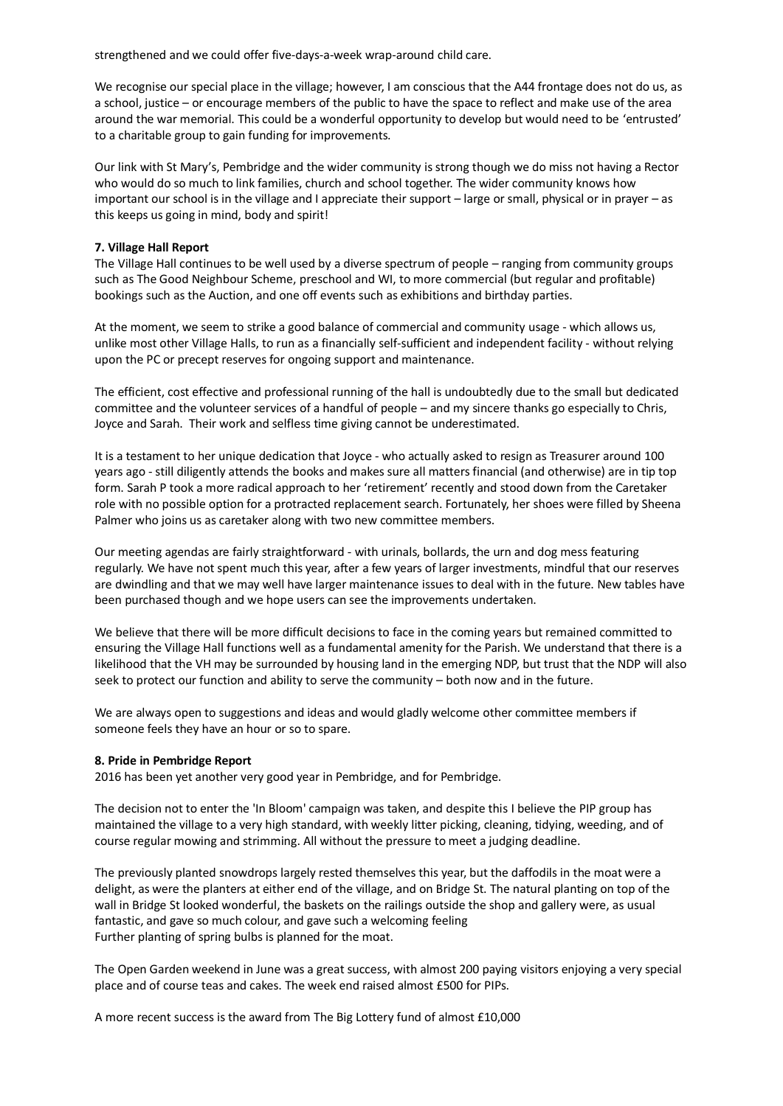strengthened and we could offer five-days-a-week wrap-around child care.

We recognise our special place in the village; however, I am conscious that the A44 frontage does not do us, as a school, justice – or encourage members of the public to have the space to reflect and make use of the area around the war memorial. This could be a wonderful opportunity to develop but would need to be 'entrusted' to a charitable group to gain funding for improvements.

Our link with St Mary's, Pembridge and the wider community is strong though we do miss not having a Rector who would do so much to link families, church and school together. The wider community knows how important our school is in the village and I appreciate their support – large or small, physical or in prayer – as this keeps us going in mind, body and spirit!

### **7. Village Hall Report**

The Village Hall continues to be well used by a diverse spectrum of people – ranging from community groups such as The Good Neighbour Scheme, preschool and WI, to more commercial (but regular and profitable) bookings such as the Auction, and one off events such as exhibitions and birthday parties.

At the moment, we seem to strike a good balance of commercial and community usage - which allows us, unlike most other Village Halls, to run as a financially self-sufficient and independent facility - without relying upon the PC or precept reserves for ongoing support and maintenance.

The efficient, cost effective and professional running of the hall is undoubtedly due to the small but dedicated committee and the volunteer services of a handful of people – and my sincere thanks go especially to Chris, Joyce and Sarah. Their work and selfless time giving cannot be underestimated.

It is a testament to her unique dedication that Joyce - who actually asked to resign as Treasurer around 100 years ago - still diligently attends the books and makes sure all matters financial (and otherwise) are in tip top form. Sarah P took a more radical approach to her 'retirement' recently and stood down from the Caretaker role with no possible option for a protracted replacement search. Fortunately, her shoes were filled by Sheena Palmer who joins us as caretaker along with two new committee members.

Our meeting agendas are fairly straightforward - with urinals, bollards, the urn and dog mess featuring regularly. We have not spent much this year, after a few years of larger investments, mindful that our reserves are dwindling and that we may well have larger maintenance issues to deal with in the future. New tables have been purchased though and we hope users can see the improvements undertaken.

We believe that there will be more difficult decisions to face in the coming years but remained committed to ensuring the Village Hall functions well as a fundamental amenity for the Parish. We understand that there is a likelihood that the VH may be surrounded by housing land in the emerging NDP, but trust that the NDP will also seek to protect our function and ability to serve the community – both now and in the future.

We are always open to suggestions and ideas and would gladly welcome other committee members if someone feels they have an hour or so to spare.

#### **8. Pride in Pembridge Report**

2016 has been yet another very good year in Pembridge, and for Pembridge.

The decision not to enter the 'In Bloom' campaign was taken, and despite this I believe the PIP group has maintained the village to a very high standard, with weekly litter picking, cleaning, tidying, weeding, and of course regular mowing and strimming. All without the pressure to meet a judging deadline.

The previously planted snowdrops largely rested themselves this year, but the daffodils in the moat were a delight, as were the planters at either end of the village, and on Bridge St. The natural planting on top of the wall in Bridge St looked wonderful, the baskets on the railings outside the shop and gallery were, as usual fantastic, and gave so much colour, and gave such a welcoming feeling Further planting of spring bulbs is planned for the moat.

The Open Garden weekend in June was a great success, with almost 200 paying visitors enjoying a very special place and of course teas and cakes. The week end raised almost £500 for PIPs.

A more recent success is the award from The Big Lottery fund of almost £10,000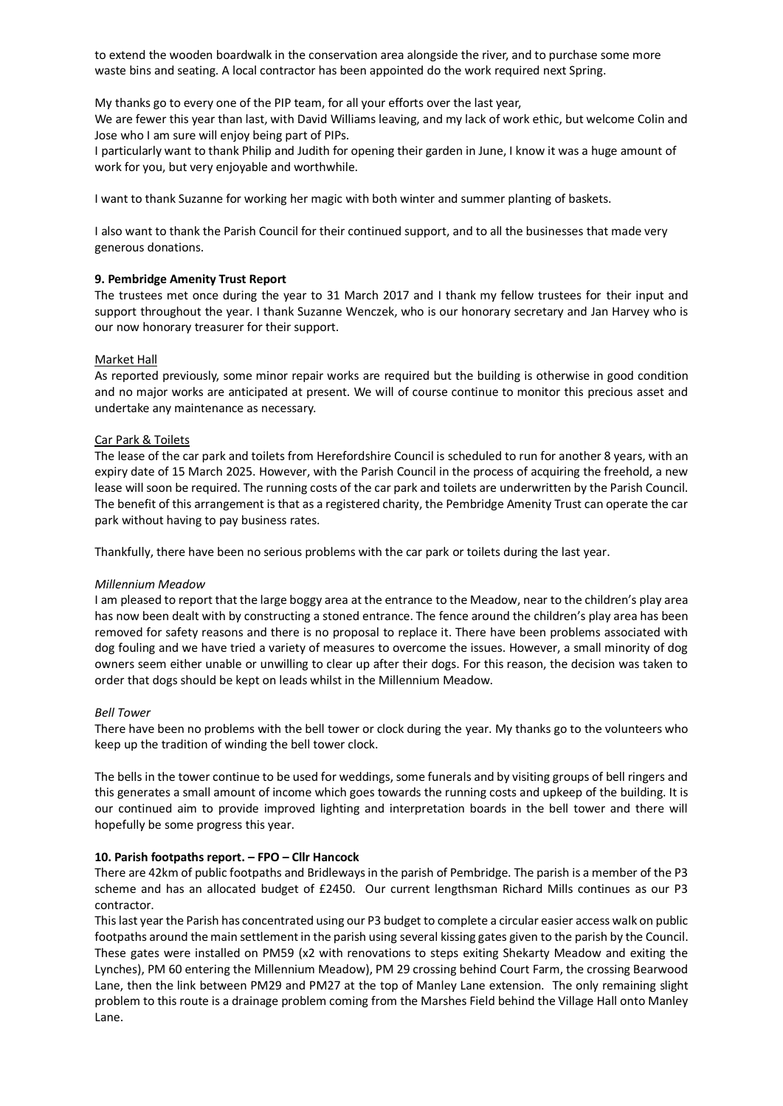to extend the wooden boardwalk in the conservation area alongside the river, and to purchase some more waste bins and seating. A local contractor has been appointed do the work required next Spring.

My thanks go to every one of the PIP team, for all your efforts over the last year,

We are fewer this year than last, with David Williams leaving, and my lack of work ethic, but welcome Colin and Jose who I am sure will enjoy being part of PIPs.

I particularly want to thank Philip and Judith for opening their garden in June, I know it was a huge amount of work for you, but very enjoyable and worthwhile.

I want to thank Suzanne for working her magic with both winter and summer planting of baskets.

I also want to thank the Parish Council for their continued support, and to all the businesses that made very generous donations.

## **9. Pembridge Amenity Trust Report**

The trustees met once during the year to 31 March 2017 and I thank my fellow trustees for their input and support throughout the year. I thank Suzanne Wenczek, who is our honorary secretary and Jan Harvey who is our now honorary treasurer for their support.

### Market Hall

As reported previously, some minor repair works are required but the building is otherwise in good condition and no major works are anticipated at present. We will of course continue to monitor this precious asset and undertake any maintenance as necessary.

### Car Park & Toilets

The lease of the car park and toilets from Herefordshire Council is scheduled to run for another 8 years, with an expiry date of 15 March 2025. However, with the Parish Council in the process of acquiring the freehold, a new lease will soon be required. The running costs of the car park and toilets are underwritten by the Parish Council. The benefit of this arrangement is that as a registered charity, the Pembridge Amenity Trust can operate the car park without having to pay business rates.

Thankfully, there have been no serious problems with the car park or toilets during the last year.

#### *Millennium Meadow*

I am pleased to report that the large boggy area at the entrance to the Meadow, near to the children's play area has now been dealt with by constructing a stoned entrance. The fence around the children's play area has been removed for safety reasons and there is no proposal to replace it. There have been problems associated with dog fouling and we have tried a variety of measures to overcome the issues. However, a small minority of dog owners seem either unable or unwilling to clear up after their dogs. For this reason, the decision was taken to order that dogs should be kept on leads whilst in the Millennium Meadow.

#### *Bell Tower*

There have been no problems with the bell tower or clock during the year. My thanks go to the volunteers who keep up the tradition of winding the bell tower clock.

The bells in the tower continue to be used for weddings, some funerals and by visiting groups of bell ringers and this generates a small amount of income which goes towards the running costs and upkeep of the building. It is our continued aim to provide improved lighting and interpretation boards in the bell tower and there will hopefully be some progress this year.

#### **10. Parish footpaths report. – FPO – Cllr Hancock**

There are 42km of public footpaths and Bridleways in the parish of Pembridge. The parish is a member of the P3 scheme and has an allocated budget of £2450. Our current lengthsman Richard Mills continues as our P3 contractor.

This last year the Parish has concentrated using our P3 budget to complete a circular easier access walk on public footpaths around the main settlement in the parish using several kissing gates given to the parish by the Council. These gates were installed on PM59 (x2 with renovations to steps exiting Shekarty Meadow and exiting the Lynches), PM 60 entering the Millennium Meadow), PM 29 crossing behind Court Farm, the crossing Bearwood Lane, then the link between PM29 and PM27 at the top of Manley Lane extension. The only remaining slight problem to this route is a drainage problem coming from the Marshes Field behind the Village Hall onto Manley Lane.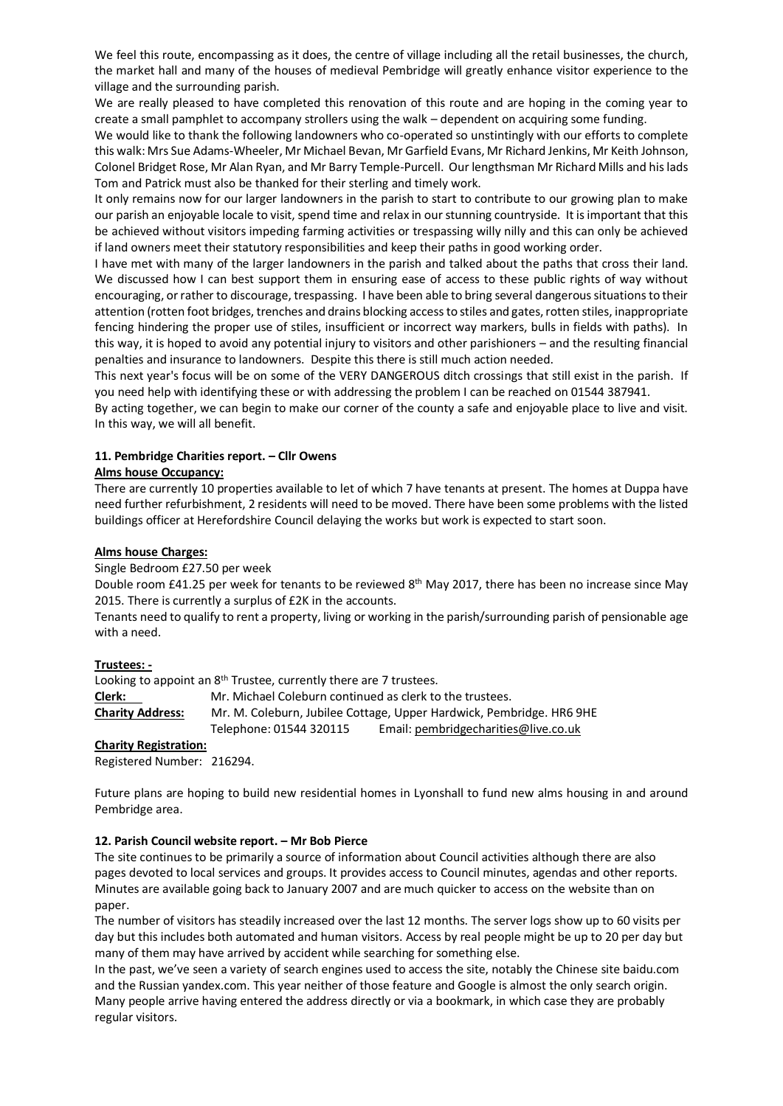We feel this route, encompassing as it does, the centre of village including all the retail businesses, the church, the market hall and many of the houses of medieval Pembridge will greatly enhance visitor experience to the village and the surrounding parish.

We are really pleased to have completed this renovation of this route and are hoping in the coming year to create a small pamphlet to accompany strollers using the walk – dependent on acquiring some funding.

We would like to thank the following landowners who co-operated so unstintingly with our efforts to complete this walk: Mrs Sue Adams-Wheeler, Mr Michael Bevan, Mr Garfield Evans, Mr Richard Jenkins, Mr Keith Johnson, Colonel Bridget Rose, Mr Alan Ryan, and Mr Barry Temple-Purcell. Our lengthsman Mr Richard Mills and his lads Tom and Patrick must also be thanked for their sterling and timely work.

It only remains now for our larger landowners in the parish to start to contribute to our growing plan to make our parish an enjoyable locale to visit, spend time and relax in our stunning countryside. It is important that this be achieved without visitors impeding farming activities or trespassing willy nilly and this can only be achieved if land owners meet their statutory responsibilities and keep their paths in good working order.

I have met with many of the larger landowners in the parish and talked about the paths that cross their land. We discussed how I can best support them in ensuring ease of access to these public rights of way without encouraging, or rather to discourage, trespassing. I have been able to bring several dangerous situations to their attention (rotten foot bridges, trenches and drains blocking access to stiles and gates, rotten stiles, inappropriate fencing hindering the proper use of stiles, insufficient or incorrect way markers, bulls in fields with paths). In this way, it is hoped to avoid any potential injury to visitors and other parishioners – and the resulting financial penalties and insurance to landowners. Despite this there is still much action needed.

This next year's focus will be on some of the VERY DANGEROUS ditch crossings that still exist in the parish. If you need help with identifying these or with addressing the problem I can be reached on 01544 387941.

By acting together, we can begin to make our corner of the county a safe and enjoyable place to live and visit. In this way, we will all benefit.

# **11. Pembridge Charities report. – Cllr Owens**

## **Alms house Occupancy:**

There are currently 10 properties available to let of which 7 have tenants at present. The homes at Duppa have need further refurbishment, 2 residents will need to be moved. There have been some problems with the listed buildings officer at Herefordshire Council delaying the works but work is expected to start soon.

## **Alms house Charges:**

Single Bedroom £27.50 per week

Double room £41.25 per week for tenants to be reviewed  $8<sup>th</sup>$  May 2017, there has been no increase since May 2015. There is currently a surplus of £2K in the accounts.

Tenants need to qualify to rent a property, living or working in the parish/surrounding parish of pensionable age with a need.

## **Trustees: -**

Looking to appoint an 8<sup>th</sup> Trustee, currently there are 7 trustees.

**Clerk:** Mr. Michael Coleburn continued as clerk to the trustees. **Charity Address:** Mr. M. Coleburn, Jubilee Cottage, Upper Hardwick, Pembridge. HR6 9HE Telephone: 01544 320115 Email[: pembridgecharities@live.co.uk](mailto:pembridgecharities@live.co.uk)

# **Charity Registration:**

Registered Number: 216294.

Future plans are hoping to build new residential homes in Lyonshall to fund new alms housing in and around Pembridge area.

# **12. Parish Council website report. – Mr Bob Pierce**

The site continues to be primarily a source of information about Council activities although there are also pages devoted to local services and groups. It provides access to Council minutes, agendas and other reports. Minutes are available going back to January 2007 and are much quicker to access on the website than on paper.

The number of visitors has steadily increased over the last 12 months. The server logs show up to 60 visits per day but this includes both automated and human visitors. Access by real people might be up to 20 per day but many of them may have arrived by accident while searching for something else.

In the past, we've seen a variety of search engines used to access the site, notably the Chinese site baidu.com and the Russian yandex.com. This year neither of those feature and Google is almost the only search origin. Many people arrive having entered the address directly or via a bookmark, in which case they are probably regular visitors.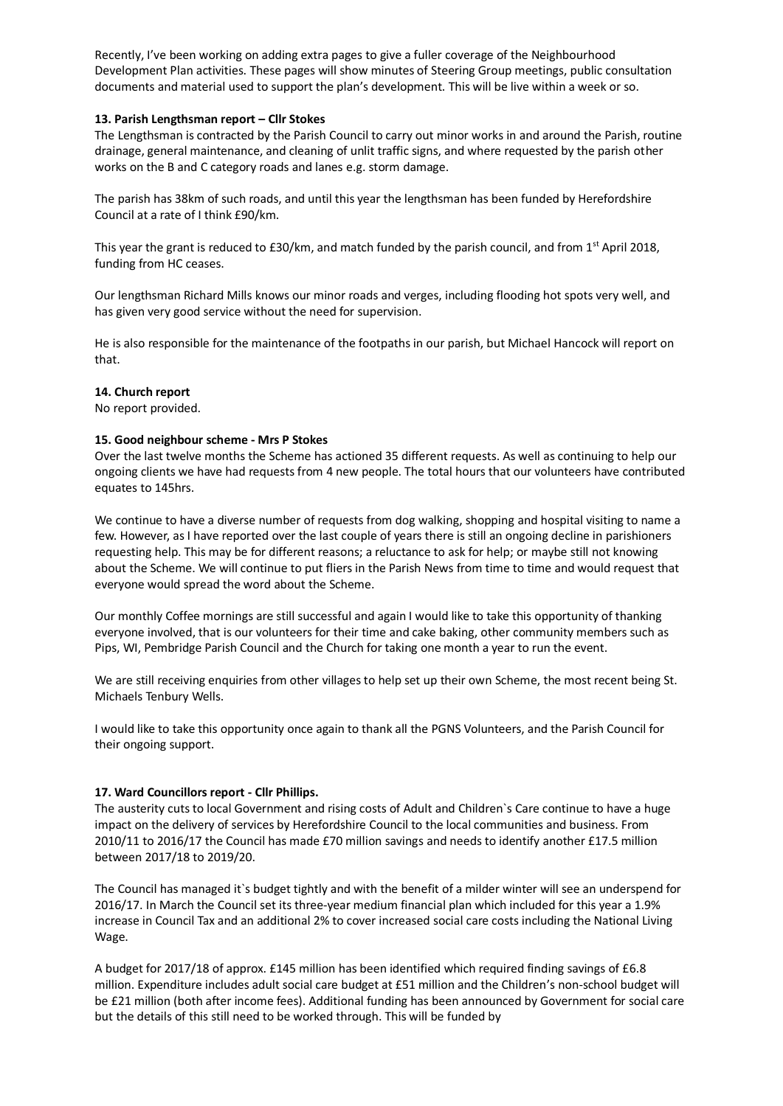Recently, I've been working on adding extra pages to give a fuller coverage of the Neighbourhood Development Plan activities. These pages will show minutes of Steering Group meetings, public consultation documents and material used to support the plan's development. This will be live within a week or so.

## **13. Parish Lengthsman report – Cllr Stokes**

The Lengthsman is contracted by the Parish Council to carry out minor works in and around the Parish, routine drainage, general maintenance, and cleaning of unlit traffic signs, and where requested by the parish other works on the B and C category roads and lanes e.g. storm damage.

The parish has 38km of such roads, and until this year the lengthsman has been funded by Herefordshire Council at a rate of I think £90/km.

This year the grant is reduced to £30/km, and match funded by the parish council, and from 1<sup>st</sup> April 2018, funding from HC ceases.

Our lengthsman Richard Mills knows our minor roads and verges, including flooding hot spots very well, and has given very good service without the need for supervision.

He is also responsible for the maintenance of the footpaths in our parish, but Michael Hancock will report on that.

# **14. Church report**

No report provided.

## **15. Good neighbour scheme - Mrs P Stokes**

Over the last twelve months the Scheme has actioned 35 different requests. As well as continuing to help our ongoing clients we have had requests from 4 new people. The total hours that our volunteers have contributed equates to 145hrs.

We continue to have a diverse number of requests from dog walking, shopping and hospital visiting to name a few. However, as I have reported over the last couple of years there is still an ongoing decline in parishioners requesting help. This may be for different reasons; a reluctance to ask for help; or maybe still not knowing about the Scheme. We will continue to put fliers in the Parish News from time to time and would request that everyone would spread the word about the Scheme.

Our monthly Coffee mornings are still successful and again I would like to take this opportunity of thanking everyone involved, that is our volunteers for their time and cake baking, other community members such as Pips, WI, Pembridge Parish Council and the Church for taking one month a year to run the event.

We are still receiving enquiries from other villages to help set up their own Scheme, the most recent being St. Michaels Tenbury Wells.

I would like to take this opportunity once again to thank all the PGNS Volunteers, and the Parish Council for their ongoing support.

# **17. Ward Councillors report - Cllr Phillips.**

The austerity cuts to local Government and rising costs of Adult and Children`s Care continue to have a huge impact on the delivery of services by Herefordshire Council to the local communities and business. From 2010/11 to 2016/17 the Council has made £70 million savings and needs to identify another £17.5 million between 2017/18 to 2019/20.

The Council has managed it`s budget tightly and with the benefit of a milder winter will see an underspend for 2016/17. In March the Council set its three-year medium financial plan which included for this year a 1.9% increase in Council Tax and an additional 2% to cover increased social care costs including the National Living Wage.

A budget for 2017/18 of approx. £145 million has been identified which required finding savings of £6.8 million. Expenditure includes adult social care budget at £51 million and the Children's non-school budget will be £21 million (both after income fees). Additional funding has been announced by Government for social care but the details of this still need to be worked through. This will be funded by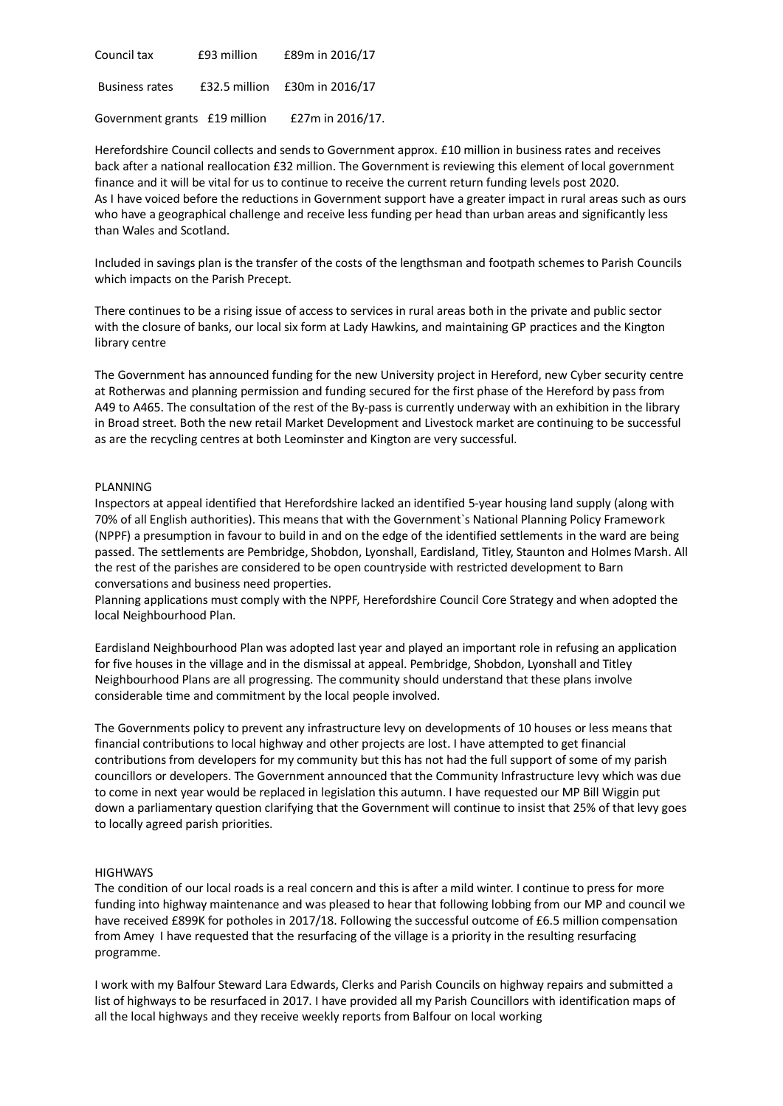| Council tax                   | £93 million | £89m in 2016/17               |
|-------------------------------|-------------|-------------------------------|
| <b>Business rates</b>         |             | £32.5 million £30m in 2016/17 |
| Government grants £19 million |             | £27m in 2016/17.              |

Herefordshire Council collects and sends to Government approx. £10 million in business rates and receives back after a national reallocation £32 million. The Government is reviewing this element of local government finance and it will be vital for us to continue to receive the current return funding levels post 2020. As I have voiced before the reductions in Government support have a greater impact in rural areas such as ours who have a geographical challenge and receive less funding per head than urban areas and significantly less than Wales and Scotland.

Included in savings plan is the transfer of the costs of the lengthsman and footpath schemes to Parish Councils which impacts on the Parish Precept.

There continues to be a rising issue of access to services in rural areas both in the private and public sector with the closure of banks, our local six form at Lady Hawkins, and maintaining GP practices and the Kington library centre

The Government has announced funding for the new University project in Hereford, new Cyber security centre at Rotherwas and planning permission and funding secured for the first phase of the Hereford by pass from A49 to A465. The consultation of the rest of the By-pass is currently underway with an exhibition in the library in Broad street. Both the new retail Market Development and Livestock market are continuing to be successful as are the recycling centres at both Leominster and Kington are very successful.

#### PLANNING

Inspectors at appeal identified that Herefordshire lacked an identified 5-year housing land supply (along with 70% of all English authorities). This means that with the Government`s National Planning Policy Framework (NPPF) a presumption in favour to build in and on the edge of the identified settlements in the ward are being passed. The settlements are Pembridge, Shobdon, Lyonshall, Eardisland, Titley, Staunton and Holmes Marsh. All the rest of the parishes are considered to be open countryside with restricted development to Barn conversations and business need properties.

Planning applications must comply with the NPPF, Herefordshire Council Core Strategy and when adopted the local Neighbourhood Plan.

Eardisland Neighbourhood Plan was adopted last year and played an important role in refusing an application for five houses in the village and in the dismissal at appeal. Pembridge, Shobdon, Lyonshall and Titley Neighbourhood Plans are all progressing. The community should understand that these plans involve considerable time and commitment by the local people involved.

The Governments policy to prevent any infrastructure levy on developments of 10 houses or less means that financial contributions to local highway and other projects are lost. I have attempted to get financial contributions from developers for my community but this has not had the full support of some of my parish councillors or developers. The Government announced that the Community Infrastructure levy which was due to come in next year would be replaced in legislation this autumn. I have requested our MP Bill Wiggin put down a parliamentary question clarifying that the Government will continue to insist that 25% of that levy goes to locally agreed parish priorities.

#### **HIGHWAYS**

The condition of our local roads is a real concern and this is after a mild winter. I continue to press for more funding into highway maintenance and was pleased to hear that following lobbing from our MP and council we have received £899K for potholes in 2017/18. Following the successful outcome of £6.5 million compensation from Amey I have requested that the resurfacing of the village is a priority in the resulting resurfacing programme.

I work with my Balfour Steward Lara Edwards, Clerks and Parish Councils on highway repairs and submitted a list of highways to be resurfaced in 2017. I have provided all my Parish Councillors with identification maps of all the local highways and they receive weekly reports from Balfour on local working